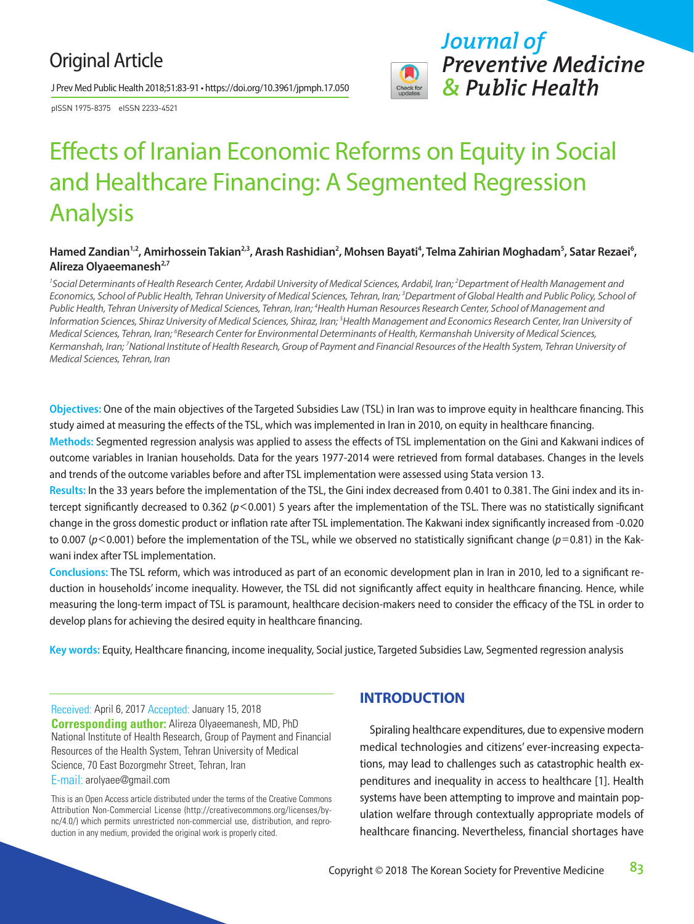## Original Article

J Prev Med Public Health 2018;51:83-91 • https://doi.org/10.3961/jpmph.17.050

pISSN 1975-8375 eISSN 2233-4521



# Effects of Iranian Economic Reforms on Equity in Social and Healthcare Financing: A Segmented Regression Analysis

#### Hamed Zandian<sup>1,2</sup>, Amirhossein Takian<sup>2,3</sup>, Arash Rashidian<sup>2</sup>, Mohsen Bayati<sup>4</sup>, Telma Zahirian Moghadam<sup>5</sup>, Satar Rezaei<sup>6</sup>, Alireza Olyaeemanesh<sup>2,7</sup>

<sup>1</sup> Social Determinants of Health Research Center, Ardabil University of Medical Sciences, Ardabil, Iran; <sup>2</sup> Department of Health Management and *Economics, School of Public Health, Tehran University of Medical Sciences, Tehran, Iran; 3 Department of Global Health and Public Policy, School of*  Public Health, Tehran University of Medical Sciences, Tehran, Iran; <sup>4</sup>Health Human Resources Research Center, School of Management and *Information Sciences, Shiraz University of Medical Sciences, Shiraz, Iran; 5 Health Management and Economics Research Center, Iran University of Medical Sciences, Tehran, Iran; 6 Research Center for Environmental Determinants of Health, Kermanshah University of Medical Sciences, Kermanshah, Iran; 7 National Institute of Health Research, Group of Payment and Financial Resources of the Health System, Tehran University of Medical Sciences, Tehran, Iran*

**Objectives:** One of the main objectives of the Targeted Subsidies Law (TSL) in Iran was to improve equity in healthcare financing. This study aimed at measuring the effects of the TSL, which was implemented in Iran in 2010, on equity in healthcare financing.

**Methods:** Segmented regression analysis was applied to assess the effects of TSL implementation on the Gini and Kakwani indices of outcome variables in Iranian households. Data for the years 1977-2014 were retrieved from formal databases. Changes in the levels and trends of the outcome variables before and after TSL implementation were assessed using Stata version 13.

**Results:** In the 33 years before the implementation of the TSL, the Gini index decreased from 0.401 to 0.381. The Gini index and its intercept significantly decreased to 0.362 ( $p$ <0.001) 5 years after the implementation of the TSL. There was no statistically significant change in the gross domestic product or inflation rate after TSL implementation. The Kakwani index significantly increased from -0.020 to 0.007 (*p*<0.001) before the implementation of the TSL, while we observed no statistically significant change (*p*=0.81) in the Kakwani index after TSL implementation.

**Conclusions:** The TSL reform, which was introduced as part of an economic development plan in Iran in 2010, led to a significant reduction in households' income inequality. However, the TSL did not significantly affect equity in healthcare financing. Hence, while measuring the long-term impact of TSL is paramount, healthcare decision-makers need to consider the efficacy of the TSL in order to develop plans for achieving the desired equity in healthcare financing.

**Key words:** Equity, Healthcare financing, income inequality, Social justice, Targeted Subsidies Law, Segmented regression analysis

Received: April 6, 2017 Accepted: January 15, 2018 **Corresponding author:** Alireza Olyaeemanesh, MD, PhD National Institute of Health Research, Group of Payment and Financial Resources of the Health System, Tehran University of Medical Science, 70 East Bozorgmehr Street, Tehran, Iran E-mail: arolyaee@gmail.com

This is an Open Access article distributed under the terms of the Creative Commons Attribution Non-Commercial License (http://creativecommons.org/licenses/bync/4.0/) which permits unrestricted non-commercial use, distribution, and reproduction in any medium, provided the original work is properly cited.

## **INTRODUCTION**

Spiraling healthcare expenditures, due to expensive modern medical technologies and citizens' ever-increasing expectations, may lead to challenges such as catastrophic health expenditures and inequality in access to healthcare [1]. Health systems have been attempting to improve and maintain population welfare through contextually appropriate models of healthcare financing. Nevertheless, financial shortages have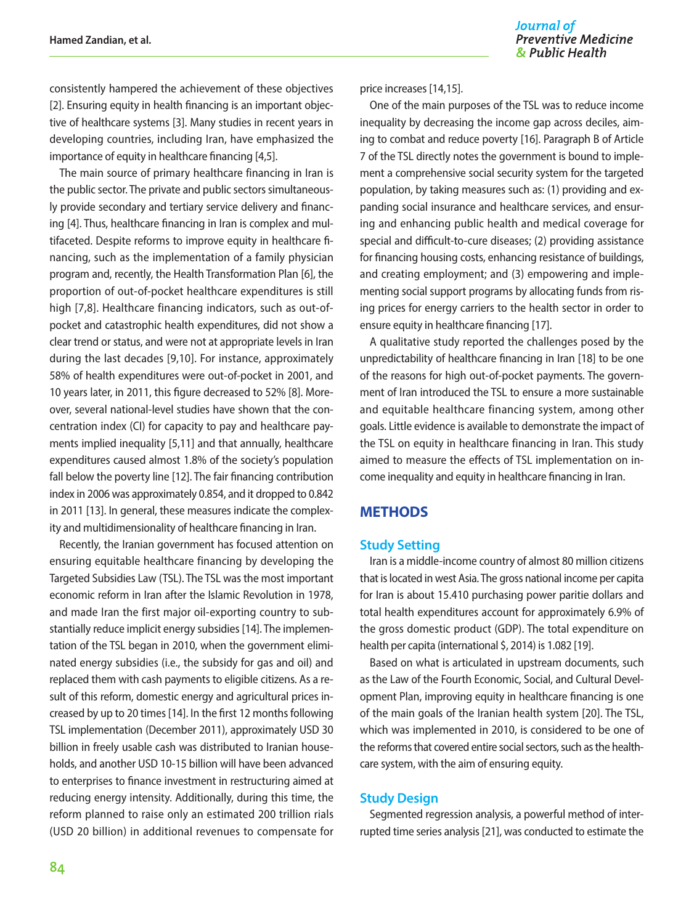consistently hampered the achievement of these objectives [2]. Ensuring equity in health financing is an important objective of healthcare systems [3]. Many studies in recent years in developing countries, including Iran, have emphasized the importance of equity in healthcare financing [4,5].

The main source of primary healthcare financing in Iran is the public sector. The private and public sectors simultaneously provide secondary and tertiary service delivery and financing [4]. Thus, healthcare financing in Iran is complex and multifaceted. Despite reforms to improve equity in healthcare financing, such as the implementation of a family physician program and, recently, the Health Transformation Plan [6], the proportion of out-of-pocket healthcare expenditures is still high [7,8]. Healthcare financing indicators, such as out-ofpocket and catastrophic health expenditures, did not show a clear trend or status, and were not at appropriate levels in Iran during the last decades [9,10]. For instance, approximately 58% of health expenditures were out-of-pocket in 2001, and 10 years later, in 2011, this figure decreased to 52% [8]. Moreover, several national-level studies have shown that the concentration index (CI) for capacity to pay and healthcare payments implied inequality [5,11] and that annually, healthcare expenditures caused almost 1.8% of the society's population fall below the poverty line [12]. The fair financing contribution index in 2006 was approximately 0.854, and it dropped to 0.842 in 2011 [13]. In general, these measures indicate the complexity and multidimensionality of healthcare financing in Iran.

Recently, the Iranian government has focused attention on ensuring equitable healthcare financing by developing the Targeted Subsidies Law (TSL). The TSL was the most important economic reform in Iran after the Islamic Revolution in 1978, and made Iran the first major oil-exporting country to substantially reduce implicit energy subsidies [14]. The implementation of the TSL began in 2010, when the government eliminated energy subsidies (i.e., the subsidy for gas and oil) and replaced them with cash payments to eligible citizens. As a result of this reform, domestic energy and agricultural prices increased by up to 20 times [14]. In the first 12 months following TSL implementation (December 2011), approximately USD 30 billion in freely usable cash was distributed to Iranian households, and another USD 10-15 billion will have been advanced to enterprises to finance investment in restructuring aimed at reducing energy intensity. Additionally, during this time, the reform planned to raise only an estimated 200 trillion rials (USD 20 billion) in additional revenues to compensate for price increases [14,15].

One of the main purposes of the TSL was to reduce income inequality by decreasing the income gap across deciles, aiming to combat and reduce poverty [16]. Paragraph B of Article 7 of the TSL directly notes the government is bound to implement a comprehensive social security system for the targeted population, by taking measures such as: (1) providing and expanding social insurance and healthcare services, and ensuring and enhancing public health and medical coverage for special and difficult-to-cure diseases; (2) providing assistance for financing housing costs, enhancing resistance of buildings, and creating employment; and (3) empowering and implementing social support programs by allocating funds from rising prices for energy carriers to the health sector in order to ensure equity in healthcare financing [17].

A qualitative study reported the challenges posed by the unpredictability of healthcare financing in Iran [18] to be one of the reasons for high out-of-pocket payments. The government of Iran introduced the TSL to ensure a more sustainable and equitable healthcare financing system, among other goals. Little evidence is available to demonstrate the impact of the TSL on equity in healthcare financing in Iran. This study aimed to measure the effects of TSL implementation on income inequality and equity in healthcare financing in Iran.

## **METHODS**

#### **Study Setting**

Iran is a middle-income country of almost 80 million citizens that is located in west Asia. The gross national income per capita for Iran is about 15.410 purchasing power paritie dollars and total health expenditures account for approximately 6.9% of the gross domestic product (GDP). The total expenditure on health per capita (international \$, 2014) is 1.082 [19].

Based on what is articulated in upstream documents, such as the Law of the Fourth Economic, Social, and Cultural Development Plan, improving equity in healthcare financing is one of the main goals of the Iranian health system [20]. The TSL, which was implemented in 2010, is considered to be one of the reforms that covered entire social sectors, such as the healthcare system, with the aim of ensuring equity.

#### **Study Design**

Segmented regression analysis, a powerful method of interrupted time series analysis [21], was conducted to estimate the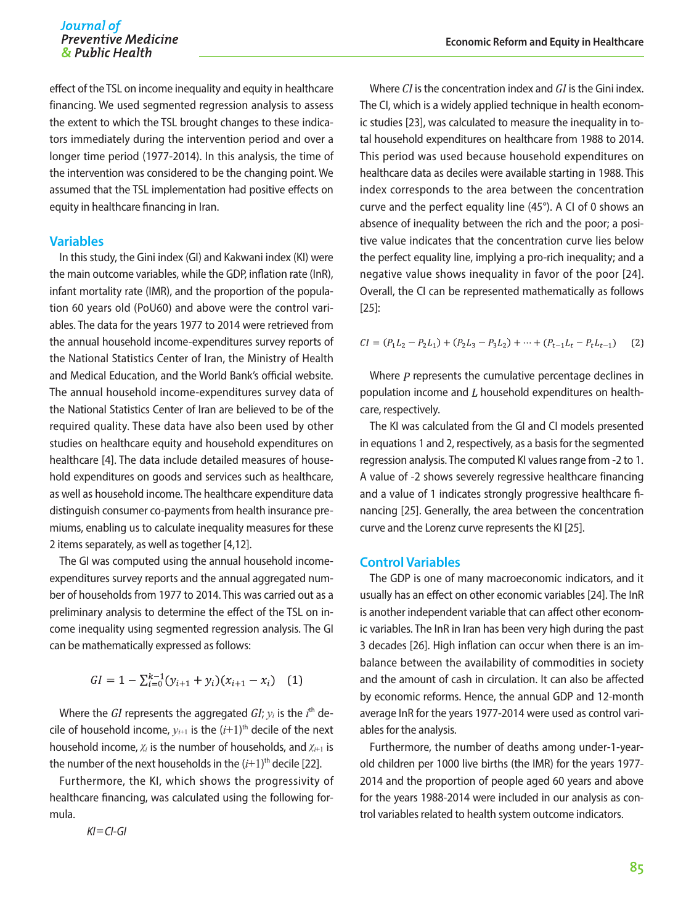effect of the TSL on income inequality and equity in healthcare financing. We used segmented regression analysis to assess the extent to which the TSL brought changes to these indicators immediately during the intervention period and over a longer time period (1977-2014). In this analysis, the time of the intervention was considered to be the changing point. We assumed that the TSL implementation had positive effects on equity in healthcare financing in Iran.

#### **Variables**

In this study, the Gini index (GI) and Kakwani index (KI) were the main outcome variables, while the GDP, inflation rate (InR), infant mortality rate (IMR), and the proportion of the population 60 years old (PoU60) and above were the control variables. The data for the years 1977 to 2014 were retrieved from the annual household income-expenditures survey reports of the National Statistics Center of Iran, the Ministry of Health and Medical Education, and the World Bank's official website. The annual household income-expenditures survey data of the National Statistics Center of Iran are believed to be of the required quality. These data have also been used by other studies on healthcare equity and household expenditures on healthcare [4]. The data include detailed measures of household expenditures on goods and services such as healthcare, as well as household income. The healthcare expenditure data distinguish consumer co-payments from health insurance premiums, enabling us to calculate inequality measures for these 2 items separately, as well as together [4,12].

The GI was computed using the annual household incomeexpenditures survey reports and the annual aggregated number of households from 1977 to 2014. This was carried out as a preliminary analysis to determine the effect of the TSL on income inequality using segmented regression analysis. The GI can be mathematically expressed as follows:

$$
GI = 1 - \sum_{i=0}^{k-1} (y_{i+1} + y_i)(x_{i+1} - x_i)
$$
 (1)

Where the *GI* represents the aggregated  $GI$ ;  $y_i$  is the  $i^{\text{th}}$  decile of household income,  $y_{i+1}$  is the  $(i+1)$ <sup>th</sup> decile of the next household income, *χi* is the number of households, and *χ<sup>i</sup>*+1 is the number of the next households in the  $(i+1)$ <sup>th</sup> decile [22].

Furthermore, the KI, which shows the progressivity of healthcare financing, was calculated using the following formula.

 *KI*=*CI-GI*

Where *CI* is the concentration index and *GI* is the Gini index. The CI, which is a widely applied technique in health economic studies [23], was calculated to measure the inequality in total household expenditures on healthcare from 1988 to 2014. This period was used because household expenditures on healthcare data as deciles were available starting in 1988. This index corresponds to the area between the concentration curve and the perfect equality line (45°). A CI of 0 shows an absence of inequality between the rich and the poor; a positive value indicates that the concentration curve lies below the perfect equality line, implying a pro-rich inequality; and a negative value shows inequality in favor of the poor [24]. Overall, the CI can be represented mathematically as follows [25]:

$$
CI = (P_1L_2 - P_2L_1) + (P_2L_3 - P_3L_2) + \dots + (P_{t-1}L_t - P_tL_{t-1})
$$
 (2)

Where  *represents the cumulative percentage declines in* population income and  $L$  household expenditures on healthcare, respectively.

The KI was calculated from the GI and CI models presented in equations 1 and 2, respectively, as a basis for the segmented regression analysis. The computed KI values range from -2 to 1. A value of -2 shows severely regressive healthcare financing and a value of 1 indicates strongly progressive healthcare financing [25]. Generally, the area between the concentration curve and the Lorenz curve represents the KI [25].

#### **Control Variables**

The GDP is one of many macroeconomic indicators, and it usually has an effect on other economic variables [24]. The InR is another independent variable that can affect other economic variables. The InR in Iran has been very high during the past 3 decades [26]. High inflation can occur when there is an imbalance between the availability of commodities in society and the amount of cash in circulation. It can also be affected by economic reforms. Hence, the annual GDP and 12-month average InR for the years 1977-2014 were used as control variables for the analysis.

Furthermore, the number of deaths among under-1-yearold children per 1000 live births (the IMR) for the years 1977- 2014 and the proportion of people aged 60 years and above for the years 1988-2014 were included in our analysis as control variables related to health system outcome indicators.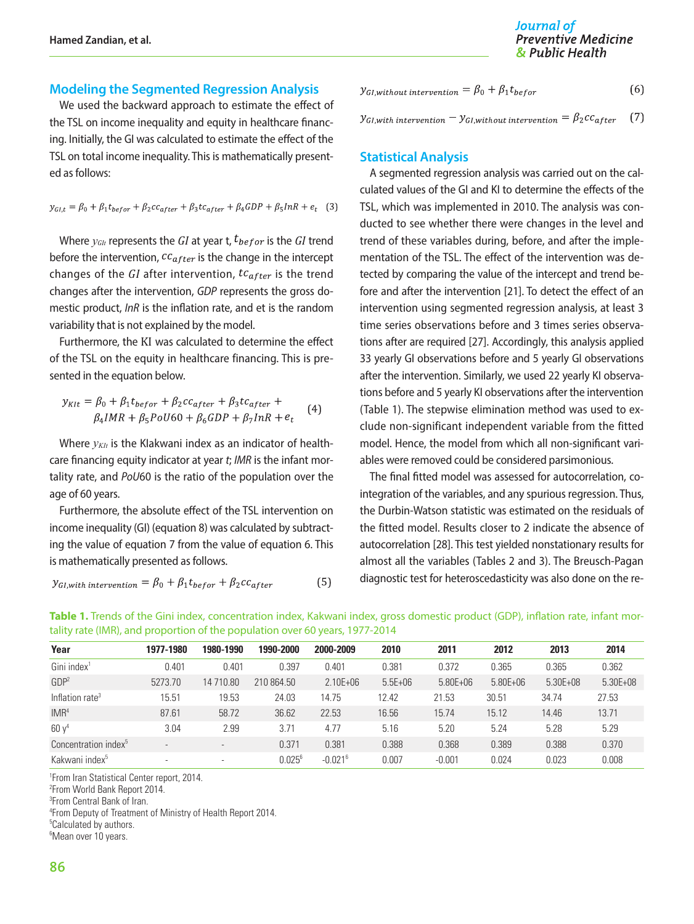#### **Modeling the Segmented Regression Analysis**

We used the backward approach to estimate the effect of the TSL on income inequality and equity in healthcare financing. Initially, the GI was calculated to estimate the effect of the TSL on total income inequality. This is mathematically presented as follows:

$$
y_{GI,t} = \beta_0 + \beta_1 t_{before} + \beta_2 c c_{after} + \beta_3 t c_{after} + \beta_4 GDP + \beta_5 InR + e_t \quad (3)
$$

Where  $y_{\text{G1t}}$  represents the GI at year t,  $t_{\text{before}}$  is the GI trend before the intervention,  $cc_{after}$  is the change in the intercept changes of the  $GI$  after intervention,  $tc_{after}$  is the trend changes after the intervention, *GDP* represents the gross domestic product, *InR* is the inflation rate, and et is the random variability that is not explained by the model.

Furthermore, the KI was calculated to determine the effect of the TSL on the equity in healthcare financing. This is presented in the equation below.

$$
y_{KIt} = \beta_0 + \beta_1 t_{before} + \beta_2 c c_{after} + \beta_3 t c_{after} +
$$
  

$$
\beta_4 IMR + \beta_5 PoU60 + \beta_6 GDP + \beta_7 InR + e_t
$$
 (4)

Where  $y_{KIt}$  is the Klakwani index as an indicator of healthcare financing equity indicator at year *t*; *IMR* is the infant mortality rate, and *PoU*60 is the ratio of the population over the age of 60 years.

Furthermore, the absolute effect of the TSL intervention on income inequality (GI) (equation 8) was calculated by subtracting the value of equation 7 from the value of equation 6. This is mathematically presented as follows.

$$
y_{GI, with\ intervention} = \beta_0 + \beta_1 t_{before} + \beta_2 c c_{after}
$$
 (5)

 $y_{GI, without\ intervention} = \beta_0 + \beta_1 t_{before}$  $(6)$ 

 $(7)$  $y_{GI, with\ intervention} - y_{GI, without\ intervention} = \beta_2 c c_{after}$ 

#### **Statistical Analysis**

A segmented regression analysis was carried out on the calculated values of the GI and KI to determine the effects of the TSL, which was implemented in 2010. The analysis was conducted to see whether there were changes in the level and trend of these variables during, before, and after the implementation of the TSL. The effect of the intervention was detected by comparing the value of the intercept and trend before and after the intervention [21]. To detect the effect of an intervention using segmented regression analysis, at least 3 time series observations before and 3 times series observations after are required [27]. Accordingly, this analysis applied 33 yearly GI observations before and 5 yearly GI observations after the intervention. Similarly, we used 22 yearly KI observations before and 5 yearly KI observations after the intervention (Table 1). The stepwise elimination method was used to exclude non-significant independent variable from the fitted model. Hence, the model from which all non-significant variables were removed could be considered parsimonious.

The final fitted model was assessed for autocorrelation, cointegration of the variables, and any spurious regression. Thus, the Durbin-Watson statistic was estimated on the residuals of the fitted model. Results closer to 2 indicate the absence of autocorrelation [28]. This test yielded nonstationary results for almost all the variables (Tables 2 and 3). The Breusch-Pagan diagnostic test for heteroscedasticity was also done on the re-

| Year                             | 1977-1980                | 1980-1990 | 1990-2000   | 2000-2009             | 2010        | 2011         | 2012         | 2013         | 2014         |
|----------------------------------|--------------------------|-----------|-------------|-----------------------|-------------|--------------|--------------|--------------|--------------|
| $Gini$ index <sup>1</sup>        | 0.401                    | 0.401     | 0.397       | 0.401                 | 0.381       | 0.372        | 0.365        | 0.365        | 0.362        |
| GDP <sup>2</sup>                 | 5273.70                  | 14 710.80 | 210 864.50  | $2.10E + 06$          | $5.5E + 06$ | $5.80E + 06$ | $5.80E + 06$ | $5.30E + 08$ | $5.30E + 08$ |
| Inflation rate <sup>3</sup>      | 15.51                    | 19.53     | 24.03       | 14.75                 | 12.42       | 21.53        | 30.51        | 34.74        | 27.53        |
| IMR <sup>4</sup>                 | 87.61                    | 58.72     | 36.62       | 22.53                 | 16.56       | 15.74        | 15.12        | 14.46        | 13.71        |
| $60y^4$                          | 3.04                     | 2.99      | 3.71        | 4.77                  | 5.16        | 5.20         | 5.24         | 5.28         | 5.29         |
| Concentration index <sup>5</sup> | $\overline{\phantom{a}}$ |           | 0.371       | 0.381                 | 0.388       | 0.368        | 0.389        | 0.388        | 0.370        |
| Kakwani index <sup>5</sup>       | $\overline{\phantom{a}}$ |           | $0.025^{6}$ | $-0.021$ <sup>6</sup> | 0.007       | $-0.001$     | 0.024        | 0.023        | 0.008        |

Table 1. Trends of the Gini index, concentration index, Kakwani index, gross domestic product (GDP), inflation rate, infant mortality rate (IMR), and proportion of the population over 60 years, 1977-2014

1 From Iran Statistical Center report, 2014.

2 From World Bank Report 2014.

3 From Central Bank of Iran.

4 From Deputy of Treatment of Ministry of Health Report 2014.

5 Calculated by authors.

<sup>6</sup>Mean over 10 years.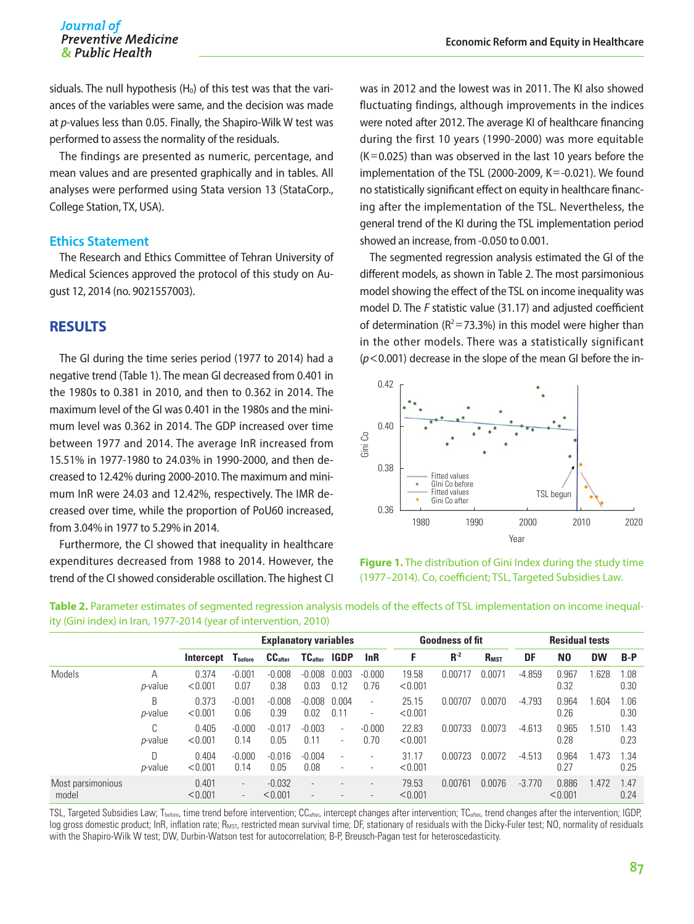siduals. The null hypothesis  $(H_0)$  of this test was that the variances of the variables were same, and the decision was made at *p*-values less than 0.05. Finally, the Shapiro-Wilk W test was performed to assess the normality of the residuals.

The findings are presented as numeric, percentage, and mean values and are presented graphically and in tables. All analyses were performed using Stata version 13 (StataCorp., College Station, TX, USA).

#### **Ethics Statement**

The Research and Ethics Committee of Tehran University of Medical Sciences approved the protocol of this study on August 12, 2014 (no. 9021557003).

## **RESULTS**

The GI during the time series period (1977 to 2014) had a negative trend (Table 1). The mean GI decreased from 0.401 in the 1980s to 0.381 in 2010, and then to 0.362 in 2014. The maximum level of the GI was 0.401 in the 1980s and the minimum level was 0.362 in 2014. The GDP increased over time between 1977 and 2014. The average InR increased from 15.51% in 1977-1980 to 24.03% in 1990-2000, and then decreased to 12.42% during 2000-2010. The maximum and minimum InR were 24.03 and 12.42%, respectively. The IMR decreased over time, while the proportion of PoU60 increased, from 3.04% in 1977 to 5.29% in 2014.

Furthermore, the CI showed that inequality in healthcare expenditures decreased from 1988 to 2014. However, the trend of the CI showed considerable oscillation. The highest CI was in 2012 and the lowest was in 2011. The KI also showed fluctuating findings, although improvements in the indices were noted after 2012. The average KI of healthcare financing during the first 10 years (1990-2000) was more equitable  $(K=0.025)$  than was observed in the last 10 years before the implementation of the TSL (2000-2009,  $K = -0.021$ ). We found no statistically significant effect on equity in healthcare financing after the implementation of the TSL. Nevertheless, the general trend of the KI during the TSL implementation period showed an increase, from -0.050 to 0.001.

The segmented regression analysis estimated the GI of the different models, as shown in Table 2. The most parsimonious model showing the effect of the TSL on income inequality was model D. The *F* statistic value (31.17) and adjusted coefficient of determination ( $R^2 = 73.3\%$ ) in this model were higher than in the other models. There was a statistically significant (*p*<0.001) decrease in the slope of the mean GI before the in-



**Figure 1.** The distribution of Gini Index during the study time (1977–2014). Co, coefficient; TSL, Targeted Subsidies Law.

|                            |                            | <b>Explanatory variables</b> |                                                      |                     |                          |                                    |                                                      |                  | <b>Goodness of fit</b> |             | <b>Residual tests</b> |                  |           |              |
|----------------------------|----------------------------|------------------------------|------------------------------------------------------|---------------------|--------------------------|------------------------------------|------------------------------------------------------|------------------|------------------------|-------------|-----------------------|------------------|-----------|--------------|
|                            |                            | Intercept                    | $\mathbf{T}_{\text{before}}$                         | CC <sub>after</sub> | $TC_{after}$             | <b>IGDP</b>                        | lnR                                                  | F                | $R^{-2}$               | <b>RMST</b> | DF                    | N <sub>0</sub>   | <b>DW</b> | $B-P$        |
| Models                     | А<br><i>p</i> -value       | 0.374<br>< 0.001             | $-0.001$<br>0.07                                     | $-0.008$<br>0.38    | $-0.008$<br>0.03         | 0.003<br>0.12                      | $-0.000$<br>0.76                                     | 19.58<br>< 0.001 | 0.00717                | 0.0071      | $-4.859$              | 0.967<br>0.32    | .628      | 1.08<br>0.30 |
|                            | B<br><i>p</i> -value       | 0.373<br>< 0.001             | $-0.001$<br>0.06                                     | $-0.008$<br>0.39    | $-0.008$<br>0.02         | 0.004<br>0.11                      | $\overline{\phantom{a}}$<br>$\overline{\phantom{a}}$ | 25.15<br>< 0.001 | 0.00707                | 0.0070      | $-4.793$              | 0.964<br>0.26    | .604      | 1.06<br>0.30 |
|                            | ⌒<br>ı,<br><i>p</i> -value | 0.405<br>< 0.001             | $-0.000$<br>0.14                                     | $-0.017$<br>0.05    | $-0.003$<br>0.11         | $\overline{\phantom{a}}$<br>$\sim$ | $-0.000$<br>0.70                                     | 22.83<br>< 0.001 | 0.00733                | 0.0073      | $-4.613$              | 0.965<br>0.28    | .510      | 1.43<br>0.23 |
|                            | D<br><i>p</i> -value       | 0.404<br>< 0.001             | $-0.000$<br>0.14                                     | $-0.016$<br>0.05    | $-0.004$<br>0.08         | $\overline{a}$                     | $\overline{\phantom{a}}$                             | 31.17<br>< 0.001 | 0.00723                | 0.0072      | $-4.513$              | 0.964<br>0.27    | .473      | 1.34<br>0.25 |
| Most parsimonious<br>model |                            | 0.401<br>< 0.001             | $\overline{\phantom{a}}$<br>$\overline{\phantom{a}}$ | $-0.032$<br>< 0.001 | $\overline{\phantom{a}}$ |                                    | $\overline{\phantom{a}}$<br>$\overline{\phantom{a}}$ | 79.53<br>< 0.001 | 0.00761                | 0.0076      | $-3.770$              | 0.886<br>< 0.001 | .472      | 1.47<br>0.24 |

**Table 2.** Parameter estimates of segmented regression analysis models of the effects of TSL implementation on income inequality (Gini index) in Iran, 1977-2014 (year of intervention, 2010)

TSL, Targeted Subsidies Law; T<sub>before</sub>, time trend before intervention; CC<sub>after</sub>, intercept changes after intervention; TC<sub>after</sub>, trend changes after the intervention; IGDP, log gross domestic product; InR, inflation rate; R<sub>MST</sub>, restricted mean survival time; DF, stationary of residuals with the Dicky-Fuler test; NO, normality of residuals with the Shapiro-Wilk W test; DW, Durbin-Watson test for autocorrelation; B-P, Breusch-Pagan test for heteroscedasticity.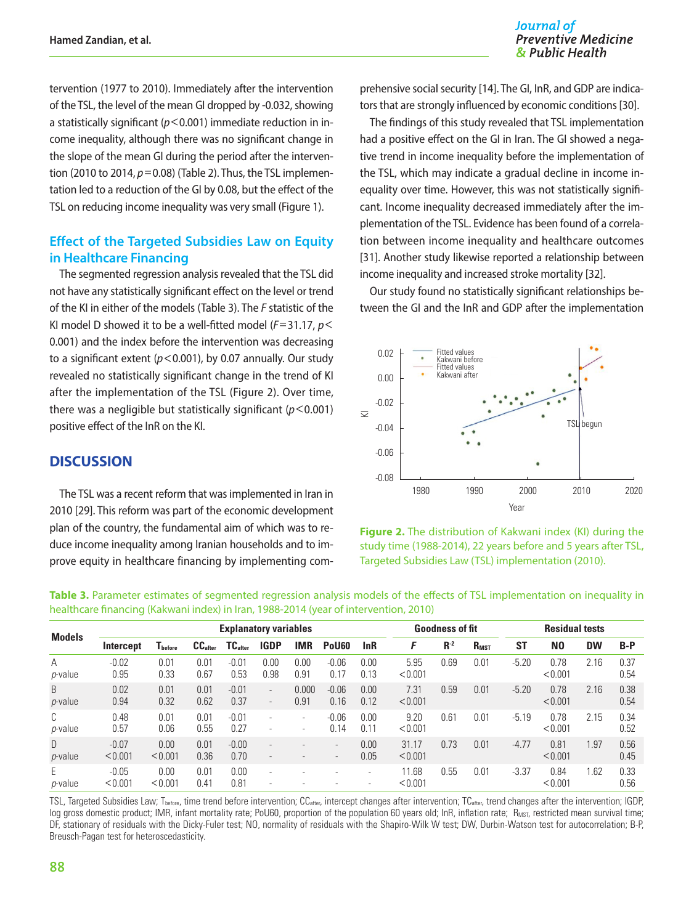Journal of **Preventive Medicine** & Public Health

tervention (1977 to 2010). Immediately after the intervention of the TSL, the level of the mean GI dropped by -0.032, showing a statistically significant (*p*<0.001) immediate reduction in income inequality, although there was no significant change in the slope of the mean GI during the period after the intervention (2010 to 2014, *p*=0.08) (Table 2). Thus, the TSL implementation led to a reduction of the GI by 0.08, but the effect of the TSL on reducing income inequality was very small (Figure 1).

## **Effect of the Targeted Subsidies Law on Equity in Healthcare Financing**

The segmented regression analysis revealed that the TSL did not have any statistically significant effect on the level or trend of the KI in either of the models (Table 3). The *F* statistic of the KI model D showed it to be a well-fitted model (*F*=31.17, *p*< 0.001) and the index before the intervention was decreasing to a significant extent (*p*<0.001), by 0.07 annually. Our study revealed no statistically significant change in the trend of KI after the implementation of the TSL (Figure 2). Over time, there was a negligible but statistically significant (*p*<0.001) positive effect of the InR on the KI.

### **DISCUSSION**

The TSL was a recent reform that was implemented in Iran in 2010 [29]. This reform was part of the economic development plan of the country, the fundamental aim of which was to reduce income inequality among Iranian households and to improve equity in healthcare financing by implementing com-

prehensive social security [14]. The GI, InR, and GDP are indicators that are strongly influenced by economic conditions [30].

The findings of this study revealed that TSL implementation had a positive effect on the GI in Iran. The GI showed a negative trend in income inequality before the implementation of the TSL, which may indicate a gradual decline in income inequality over time. However, this was not statistically significant. Income inequality decreased immediately after the implementation of the TSL. Evidence has been found of a correlation between income inequality and healthcare outcomes [31]. Another study likewise reported a relationship between income inequality and increased stroke mortality [32].

Our study found no statistically significant relationships between the GI and the InR and GDP after the implementation





**Table 3.** Parameter estimates of segmented regression analysis models of the effects of TSL implementation on inequality in healthcare financing (Kakwani index) in Iran, 1988-2014 (year of intervention, 2010)

| <b>Models</b>        |                    | <b>Explanatory variables</b> |                     |                     |                                                      |               |                                                      |                                                      | <b>Goodness of fit</b> |       |                         | <b>Residual tests</b> |                 |           |              |
|----------------------|--------------------|------------------------------|---------------------|---------------------|------------------------------------------------------|---------------|------------------------------------------------------|------------------------------------------------------|------------------------|-------|-------------------------|-----------------------|-----------------|-----------|--------------|
|                      | Intercept          | I before                     | CC <sub>after</sub> | TC <sub>after</sub> | <b>IGDP</b>                                          | <b>IMR</b>    | PoU <sub>60</sub>                                    | lnR                                                  | F                      | $R-2$ | <b>R</b> <sub>MST</sub> | <b>ST</b>             | N <sub>0</sub>  | <b>DW</b> | $B-P$        |
| A<br><i>p</i> -value | $-0.02$<br>0.95    | 0.01<br>0.33                 | 0.01<br>0.67        | $-0.01$<br>0.53     | 0.00<br>0.98                                         | 0.00<br>0.91  | $-0.06$<br>0.17                                      | 0.00<br>0.13                                         | 5.95<br>< 0.001        | 0.69  | 0.01                    | $-5.20$               | 0.78<br>< 0.001 | 2.16      | 0.37<br>0.54 |
| B<br>p-value         | 0.02<br>0.94       | 0.01<br>0.32                 | 0.01<br>0.62        | $-0.01$<br>0.37     | $\overline{\phantom{a}}$<br>$\overline{\phantom{a}}$ | 0.000<br>0.91 | $-0.06$<br>0.16                                      | 0.00<br>0.12                                         | 7.31<br>< 0.001        | 0.59  | 0.01                    | $-5.20$               | 0.78<br>< 0.001 | 2.16      | 0.38<br>0.54 |
| C<br>p-value         | 0.48<br>0.57       | 0.01<br>0.06                 | 0.01<br>0.55        | $-0.01$<br>0.27     | $\overline{\phantom{a}}$                             | ٠<br>٠        | $-0.06$<br>0.14                                      | 0.00<br>0.11                                         | 9.20<br>< 0.001        | 0.61  | 0.01                    | $-5.19$               | 0.78<br>< 0.001 | 2.15      | 0.34<br>0.52 |
| D<br>p-value         | $-0.07$<br>< 0.001 | 0.00<br>< 0.001              | 0.01<br>0.36        | $-0.00$<br>0.70     | $\overline{\phantom{a}}$                             |               | $\overline{\phantom{a}}$<br>$\overline{\phantom{a}}$ | 0.00<br>0.05                                         | 31.17<br>< 0.001       | 0.73  | 0.01                    | $-4.77$               | 0.81<br>< 0.001 | 1.97      | 0.56<br>0.45 |
| E<br><i>p</i> -value | $-0.05$<br>< 0.001 | 0.00<br>< 0.001              | 0.01<br>0.41        | 0.00<br>0.81        | $\overline{\phantom{a}}$                             |               |                                                      | $\overline{\phantom{a}}$<br>$\overline{\phantom{a}}$ | 11.68<br>< 0.001       | 0.55  | 0.01                    | $-3.37$               | 0.84<br>< 0.001 | .62       | 0.33<br>0.56 |

TSL, Targeted Subsidies Law; T<sub>before</sub>, time trend before intervention; CC<sub>after</sub>, intercept changes after intervention; TC<sub>after</sub>, trend changes after the intervention; IGDP, log gross domestic product; IMR, infant mortality rate; PoU60, proportion of the population 60 years old; InR, inflation rate; R<sub>MST</sub>, restricted mean survival time; DF, stationary of residuals with the Dicky-Fuler test; NO, normality of residuals with the Shapiro-Wilk W test; DW, Durbin-Watson test for autocorrelation; B-P, Breusch-Pagan test for heteroscedasticity.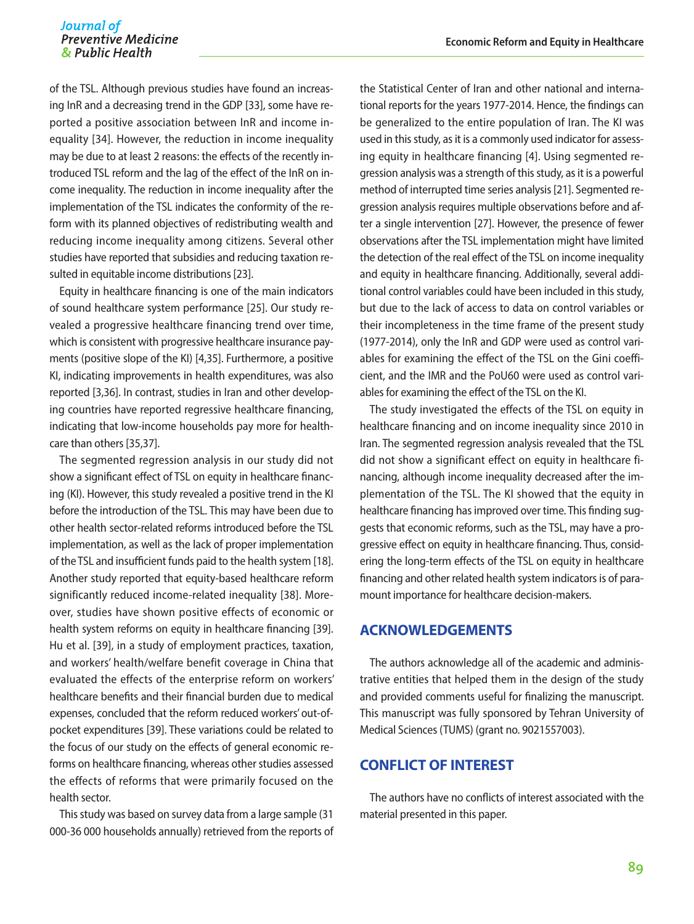of the TSL. Although previous studies have found an increasing InR and a decreasing trend in the GDP [33], some have reported a positive association between InR and income inequality [34]. However, the reduction in income inequality may be due to at least 2 reasons: the effects of the recently introduced TSL reform and the lag of the effect of the InR on income inequality. The reduction in income inequality after the implementation of the TSL indicates the conformity of the reform with its planned objectives of redistributing wealth and reducing income inequality among citizens. Several other studies have reported that subsidies and reducing taxation resulted in equitable income distributions [23].

Equity in healthcare financing is one of the main indicators of sound healthcare system performance [25]. Our study revealed a progressive healthcare financing trend over time, which is consistent with progressive healthcare insurance payments (positive slope of the KI) [4,35]. Furthermore, a positive KI, indicating improvements in health expenditures, was also reported [3,36]. In contrast, studies in Iran and other developing countries have reported regressive healthcare financing, indicating that low-income households pay more for healthcare than others [35,37].

The segmented regression analysis in our study did not show a significant effect of TSL on equity in healthcare financing (KI). However, this study revealed a positive trend in the KI before the introduction of the TSL. This may have been due to other health sector-related reforms introduced before the TSL implementation, as well as the lack of proper implementation of the TSL and insufficient funds paid to the health system [18]. Another study reported that equity-based healthcare reform significantly reduced income-related inequality [38]. Moreover, studies have shown positive effects of economic or health system reforms on equity in healthcare financing [39]. Hu et al. [39], in a study of employment practices, taxation, and workers' health/welfare benefit coverage in China that evaluated the effects of the enterprise reform on workers' healthcare benefits and their financial burden due to medical expenses, concluded that the reform reduced workers' out-ofpocket expenditures [39]. These variations could be related to the focus of our study on the effects of general economic reforms on healthcare financing, whereas other studies assessed the effects of reforms that were primarily focused on the health sector.

This study was based on survey data from a large sample (31 000-36 000 households annually) retrieved from the reports of the Statistical Center of Iran and other national and international reports for the years 1977-2014. Hence, the findings can be generalized to the entire population of Iran. The KI was used in this study, as it is a commonly used indicator for assessing equity in healthcare financing [4]. Using segmented regression analysis was a strength of this study, as it is a powerful method of interrupted time series analysis [21]. Segmented regression analysis requires multiple observations before and after a single intervention [27]. However, the presence of fewer observations after the TSL implementation might have limited the detection of the real effect of the TSL on income inequality and equity in healthcare financing. Additionally, several additional control variables could have been included in this study, but due to the lack of access to data on control variables or their incompleteness in the time frame of the present study (1977-2014), only the InR and GDP were used as control variables for examining the effect of the TSL on the Gini coefficient, and the IMR and the PoU60 were used as control variables for examining the effect of the TSL on the KI.

The study investigated the effects of the TSL on equity in healthcare financing and on income inequality since 2010 in Iran. The segmented regression analysis revealed that the TSL did not show a significant effect on equity in healthcare financing, although income inequality decreased after the implementation of the TSL. The KI showed that the equity in healthcare financing has improved over time. This finding suggests that economic reforms, such as the TSL, may have a progressive effect on equity in healthcare financing. Thus, considering the long-term effects of the TSL on equity in healthcare financing and other related health system indicators is of paramount importance for healthcare decision-makers.

## **ACKNOWLEDGEMENTS**

The authors acknowledge all of the academic and administrative entities that helped them in the design of the study and provided comments useful for finalizing the manuscript. This manuscript was fully sponsored by Tehran University of Medical Sciences (TUMS) (grant no. 9021557003).

## **CONFLICT OF INTEREST**

The authors have no conflicts of interest associated with the material presented in this paper.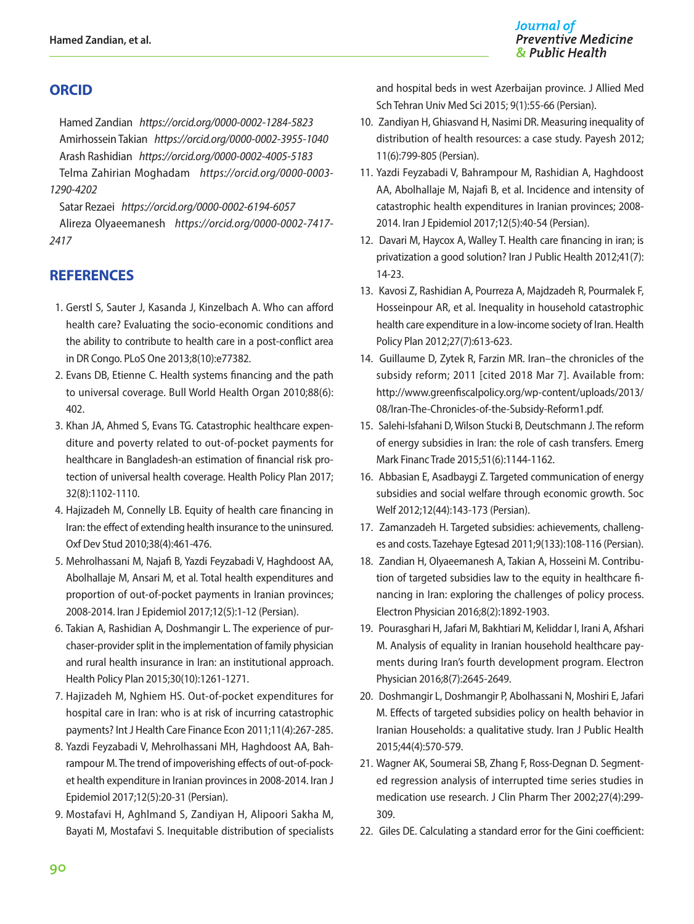## **ORCID**

Hamed Zandian *https://orcid.org/0000-0002-1284-5823* Amirhossein Takian *https://orcid.org/0000-0002-3955-1040* Arash Rashidian *https://orcid.org/0000-0002-4005-5183* Telma Zahirian Moghadam *https://orcid.org/0000-0003- 1290-4202*

Satar Rezaei *https://orcid.org/0000-0002-6194-6057* Alireza Olyaeemanesh *https://orcid.org/0000-0002-7417- 2417*

## **REFERENCES**

- 1. Gerstl S, Sauter J, Kasanda J, Kinzelbach A. Who can afford health care? Evaluating the socio-economic conditions and the ability to contribute to health care in a post-conflict area in DR Congo. PLoS One 2013;8(10):e77382.
- 2. Evans DB, Etienne C. Health systems financing and the path to universal coverage. Bull World Health Organ 2010;88(6): 402.
- 3. Khan JA, Ahmed S, Evans TG. Catastrophic healthcare expenditure and poverty related to out-of-pocket payments for healthcare in Bangladesh-an estimation of financial risk protection of universal health coverage. Health Policy Plan 2017; 32(8):1102-1110.
- 4. Hajizadeh M, Connelly LB. Equity of health care financing in Iran: the effect of extending health insurance to the uninsured. Oxf Dev Stud 2010;38(4):461-476.
- 5. Mehrolhassani M, Najafi B, Yazdi Feyzabadi V, Haghdoost AA, Abolhallaje M, Ansari M, et al. Total health expenditures and proportion of out-of-pocket payments in Iranian provinces; 2008-2014. Iran J Epidemiol 2017;12(5):1-12 (Persian).
- 6. Takian A, Rashidian A, Doshmangir L. The experience of purchaser-provider split in the implementation of family physician and rural health insurance in Iran: an institutional approach. Health Policy Plan 2015;30(10):1261-1271.
- 7. Hajizadeh M, Nghiem HS. Out-of-pocket expenditures for hospital care in Iran: who is at risk of incurring catastrophic payments? Int J Health Care Finance Econ 2011;11(4):267-285.
- 8. Yazdi Feyzabadi V, Mehrolhassani MH, Haghdoost AA, Bahrampour M. The trend of impoverishing effects of out-of-pocket health expenditure in Iranian provinces in 2008-2014. Iran J Epidemiol 2017;12(5):20-31 (Persian).
- 9. Mostafavi H, Aghlmand S, Zandiyan H, Alipoori Sakha M, Bayati M, Mostafavi S. Inequitable distribution of specialists

and hospital beds in west Azerbaijan province. J Allied Med Sch Tehran Univ Med Sci 2015; 9(1):55-66 (Persian).

- 10. Zandiyan H, Ghiasvand H, Nasimi DR. Measuring inequality of distribution of health resources: a case study. Payesh 2012; 11(6):799-805 (Persian).
- 11. Yazdi Feyzabadi V, Bahrampour M, Rashidian A, Haghdoost AA, Abolhallaje M, Najafi B, et al. Incidence and intensity of catastrophic health expenditures in Iranian provinces; 2008- 2014. Iran J Epidemiol 2017;12(5):40-54 (Persian).
- 12. Davari M, Haycox A, Walley T. Health care financing in iran; is privatization a good solution? Iran J Public Health 2012;41(7): 14-23.
- 13. Kavosi Z, Rashidian A, Pourreza A, Majdzadeh R, Pourmalek F, Hosseinpour AR, et al. Inequality in household catastrophic health care expenditure in a low-income society of Iran. Health Policy Plan 2012;27(7):613-623.
- 14. Guillaume D, Zytek R, Farzin MR. Iran–the chronicles of the subsidy reform; 2011 [cited 2018 Mar 7]. Available from: [http://www.greenfiscalpolicy.org/wp-content/uploads/2013/](http://www.greenfiscalpolicy.org/wp-content/uploads/2013/08/Iran-The-Chronicles-of-the-Subsidy-Reform1.pdf)  [08/Iran-The-Chronicles-of-the-Subsidy-Reform1.pdf](http://www.greenfiscalpolicy.org/wp-content/uploads/2013/08/Iran-The-Chronicles-of-the-Subsidy-Reform1.pdf).
- 15. Salehi-Isfahani D, Wilson Stucki B, Deutschmann J. The reform of energy subsidies in Iran: the role of cash transfers. Emerg Mark Financ Trade 2015;51(6):1144-1162.
- 16. Abbasian E, Asadbaygi Z. Targeted communication of energy subsidies and social welfare through economic growth. Soc Welf 2012;12(44):143-173 (Persian).
- 17. Zamanzadeh H. Targeted subsidies: achievements, challenges and costs. Tazehaye Egtesad 2011;9(133):108-116 (Persian).
- 18. Zandian H, Olyaeemanesh A, Takian A, Hosseini M. Contribution of targeted subsidies law to the equity in healthcare financing in Iran: exploring the challenges of policy process. Electron Physician 2016;8(2):1892-1903.
- 19. Pourasghari H, Jafari M, Bakhtiari M, Keliddar I, Irani A, Afshari M. Analysis of equality in Iranian household healthcare payments during Iran's fourth development program. Electron Physician 2016;8(7):2645-2649.
- 20. Doshmangir L, Doshmangir P, Abolhassani N, Moshiri E, Jafari M. Effects of targeted subsidies policy on health behavior in Iranian Households: a qualitative study. Iran J Public Health 2015;44(4):570-579.
- 21. Wagner AK, Soumerai SB, Zhang F, Ross-Degnan D. Segmented regression analysis of interrupted time series studies in medication use research. J Clin Pharm Ther 2002;27(4):299- 309.
- 22. Giles DE. Calculating a standard error for the Gini coefficient: